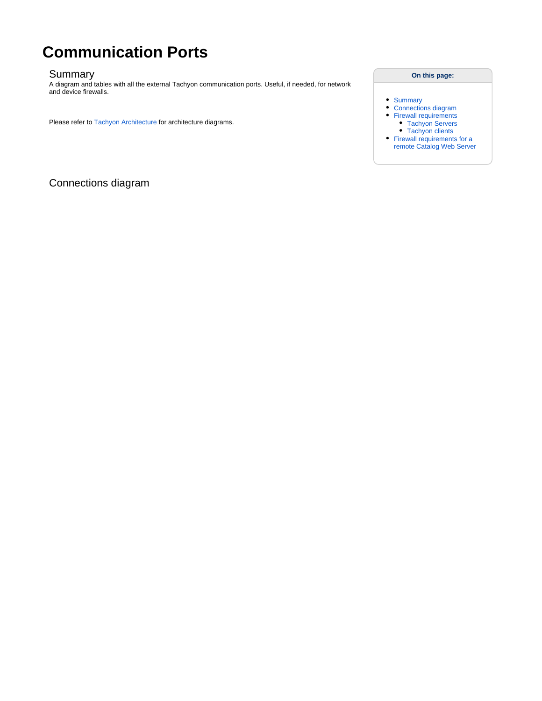# **Communication Ports**

#### Summary

A diagram and tables with all the external Tachyon communication ports. Useful, if needed, for network and device firewalls.

Please refer to [Tachyon Architecture](https://help.1e.com/display/TCN50/Tachyon+Architecture) for architecture diagrams.

#### **On this page:**

- **[Summary](https://help.1e.com/display/CAT20/Communication+Ports#CommunicationPorts-Summary)**
- [Connections diagram](https://help.1e.com/display/CAT20/Communication+Ports#CommunicationPorts-Connectionsdiagram)
- [Firewall requirements](https://help.1e.com/display/CAT20/Communication+Ports#CommunicationPorts-Firewallrequirements)
- [Tachyon Servers](https://help.1e.com/display/CAT20/Communication+Ports#CommunicationPorts-TachyonServers) [Tachyon clients](https://help.1e.com/display/CAT20/Communication+Ports#CommunicationPorts-Tachyonclients)
- [Firewall requirements for a](https://help.1e.com/display/CAT20/Communication+Ports#CommunicationPorts-FirewallrequirementsforaremoteCatalogWebServer)  [remote Catalog Web Server](https://help.1e.com/display/CAT20/Communication+Ports#CommunicationPorts-FirewallrequirementsforaremoteCatalogWebServer)

Connections diagram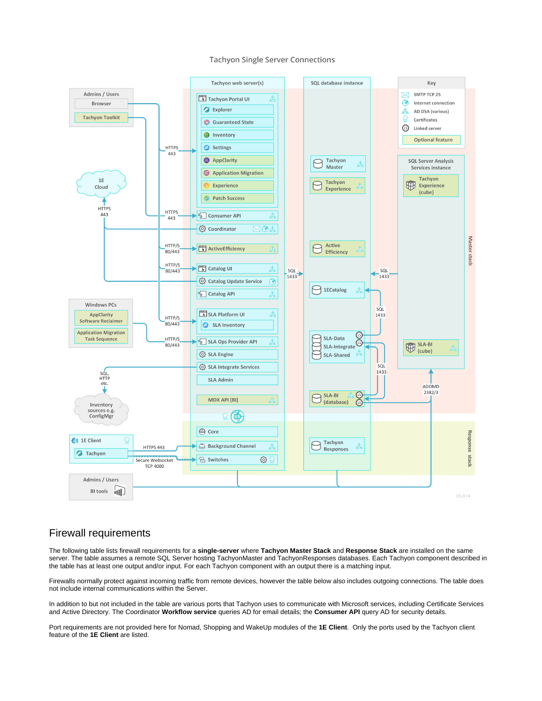

#### **Tachyon Single Server Connections**

## Firewall requirements

The following table lists firewall requirements for a **single-server** where **Tachyon Master Stack** and **Response Stack** are installed on the same server. The table assumes a remote SQL Server hosting TachyonMaster and TachyonResponses databases. Each Tachyon component described in the table has at least one output and/or input. For each Tachyon component with an output there is a matching input.

Firewalls normally protect against incoming traffic from remote devices, however the table below also includes outgoing connections. The table does not include internal communications within the Server.

In addition to but not included in the table are various ports that Tachyon uses to communicate with Microsoft services, including Certificate Services and Active Directory. The Coordinator **Workflow service** queries AD for email details; the **Consumer API** query AD for security details.

Port requirements are not provided here for Nomad, Shopping and WakeUp modules of the **1E Client**. Only the ports used by the Tachyon client feature of the **1E Client** are listed.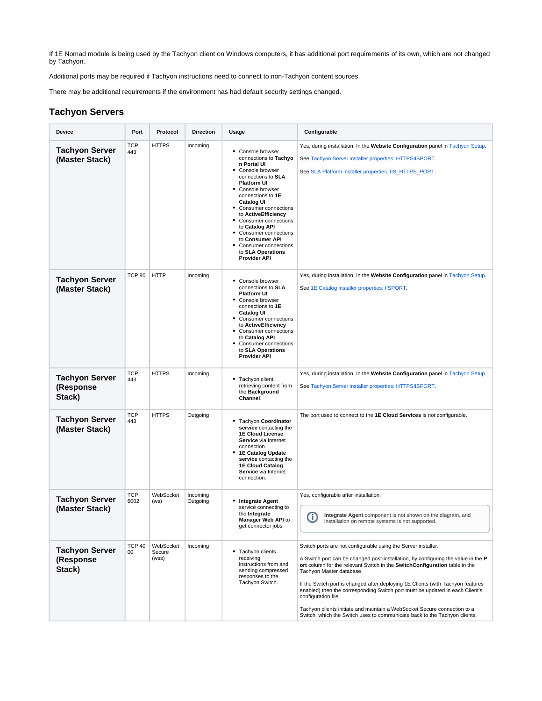If 1E Nomad module is being used by the Tachyon client on Windows computers, it has additional port requirements of its own, which are not changed by Tachyon.

Additional ports may be required if Tachyon instructions need to connect to non-Tachyon content sources.

There may be additional requirements if the environment has had default security settings changed.

#### **Tachyon Servers**

| Device                                       | Port                | Protocol                     | <b>Direction</b>     | Usage                                                                                                                                                                                                                                                                                                                                                                                                     | Configurable                                                                                                                                                                                                                                                                                                                                                                                                                                                                                                                                                                                                    |
|----------------------------------------------|---------------------|------------------------------|----------------------|-----------------------------------------------------------------------------------------------------------------------------------------------------------------------------------------------------------------------------------------------------------------------------------------------------------------------------------------------------------------------------------------------------------|-----------------------------------------------------------------------------------------------------------------------------------------------------------------------------------------------------------------------------------------------------------------------------------------------------------------------------------------------------------------------------------------------------------------------------------------------------------------------------------------------------------------------------------------------------------------------------------------------------------------|
| <b>Tachyon Server</b><br>(Master Stack)      | <b>TCP</b><br>443   | <b>HTTPS</b>                 | Incoming             | • Console browser<br>connections to Tachyo<br>n Portal UI<br>• Console browser<br>connections to SLA<br><b>Platform UI</b><br>• Console browser<br>connections to 1E<br><b>Catalog UI</b><br>• Consumer connections<br>to ActiveEfficiency<br>• Consumer connections<br>to Catalog API<br>• Consumer connections<br>to Consumer API<br>• Consumer connections<br>to SLA Operations<br><b>Provider API</b> | Yes, during installation. In the Website Configuration panel in Tachyon Setup.<br>See Tachyon Server installer properties: HTTPSIISPORT.<br>See SLA Platform installer properties: IIS_HTTPS_PORT.                                                                                                                                                                                                                                                                                                                                                                                                              |
| <b>Tachyon Server</b><br>(Master Stack)      | <b>TCP 80</b>       | <b>HTTP</b>                  | Incoming             | • Console browser<br>connections to SLA<br><b>Platform UI</b><br>• Console browser<br>connections to 1E<br><b>Catalog UI</b><br>• Consumer connections<br>to ActiveEfficiency<br>• Consumer connections<br>to Catalog API<br>• Consumer connections<br>to SLA Operations<br><b>Provider API</b>                                                                                                           | Yes, during installation. In the Website Configuration panel in Tachyon Setup.<br>See 1E Catalog installer properties: IISPORT.                                                                                                                                                                                                                                                                                                                                                                                                                                                                                 |
| <b>Tachyon Server</b><br>(Response<br>Stack) | <b>TCP</b><br>443   | <b>HTTPS</b>                 | Incoming             | Tachyon client<br>retrieving content from<br>the Background<br>Channel.                                                                                                                                                                                                                                                                                                                                   | Yes, during installation. In the Website Configuration panel in Tachyon Setup.<br>See Tachyon Server installer properties: HTTPSIISPORT.                                                                                                                                                                                                                                                                                                                                                                                                                                                                        |
| <b>Tachyon Server</b><br>(Master Stack)      | <b>TCP</b><br>443   | <b>HTTPS</b>                 | Outgoing             | • Tachyon Coordinator<br>service contacting the<br><b>1E Cloud License</b><br>Service via Internet<br>connection.<br>• 1E Catalog Update<br>service contacting the<br><b>1E Cloud Catalog</b><br>Service via Internet<br>connection.                                                                                                                                                                      | The port used to connect to the 1E Cloud Services is not configurable.                                                                                                                                                                                                                                                                                                                                                                                                                                                                                                                                          |
| <b>Tachyon Server</b><br>(Master Stack)      | <b>TCP</b><br>6002  | WebSocket<br>(ws)            | Incoming<br>Outgoing | • Integrate Agent<br>service connecting to<br>the Integrate<br>Manager Web API to<br>get connector jobs                                                                                                                                                                                                                                                                                                   | Yes, configurable after installation.<br>Integrate Agent component is not shown on the diagram, and<br>Œ<br>installation on remote systems is not supported.                                                                                                                                                                                                                                                                                                                                                                                                                                                    |
| <b>Tachyon Server</b><br>(Response<br>Stack) | <b>TCP 40</b><br>00 | WebSocket<br>Secure<br>(wss) | Incoming             | • Tachyon clients<br>receiving<br>instructions from and<br>sending compressed<br>responses to the<br>Tachyon Switch.                                                                                                                                                                                                                                                                                      | Switch ports are not configurable using the Server installer.<br>A Switch port can be changed post-installation, by configuring the value in the P<br>ort column for the relevant Switch in the SwitchConfiguration table in the<br>Tachyon Master database.<br>If the Switch port is changed after deploying 1E Clients (with Tachyon features<br>enabled) then the corresponding Switch port must be updated in each Client's<br>configuration file.<br>Tachyon clients initiate and maintain a WebSocket Secure connection to a<br>Switch, which the Switch uses to communicate back to the Tachyon clients. |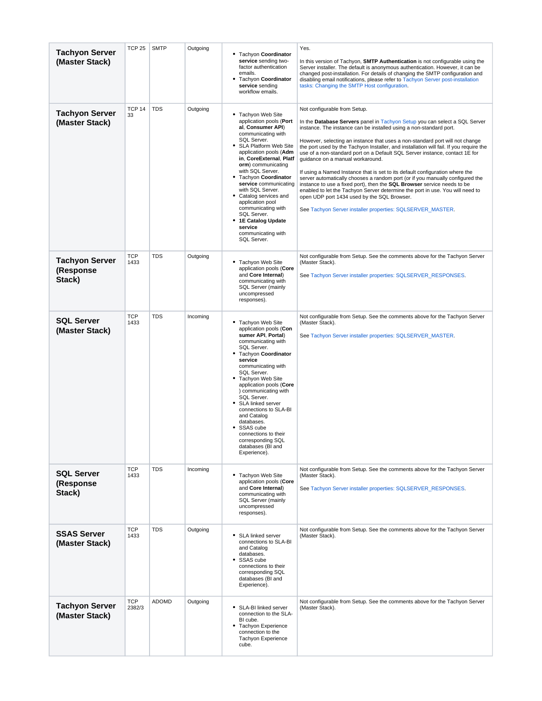| <b>Tachyon Server</b><br>(Master Stack)      | <b>TCP 25</b>        | <b>SMTP</b>  | Outgoing | • Tachyon Coordinator<br>service sending two-<br>factor authentication<br>emails.<br>Tachyon Coordinator<br>٠<br>service sending<br>workflow emails.                                                                                                                                                                                                                                                                                                              | Yes.<br>In this version of Tachyon, <b>SMTP Authentication</b> is not configurable using the<br>Server installer. The default is anonymous authentication. However, it can be<br>changed post-installation. For details of changing the SMTP configuration and<br>disabling email notifications, please refer to Tachyon Server post-installation<br>tasks: Changing the SMTP Host configuration.                                                                                                                                                                                                                                                                                                                                                                                                                                                                                                                       |
|----------------------------------------------|----------------------|--------------|----------|-------------------------------------------------------------------------------------------------------------------------------------------------------------------------------------------------------------------------------------------------------------------------------------------------------------------------------------------------------------------------------------------------------------------------------------------------------------------|-------------------------------------------------------------------------------------------------------------------------------------------------------------------------------------------------------------------------------------------------------------------------------------------------------------------------------------------------------------------------------------------------------------------------------------------------------------------------------------------------------------------------------------------------------------------------------------------------------------------------------------------------------------------------------------------------------------------------------------------------------------------------------------------------------------------------------------------------------------------------------------------------------------------------|
| <b>Tachyon Server</b><br>(Master Stack)      | <b>TCP 14</b><br>33  | <b>TDS</b>   | Outgoing | • Tachyon Web Site<br>application pools (Port<br>al, Consumer API)<br>communicating with<br>SQL Server.<br>• SLA Platform Web Site<br>application pools (Adm<br>in, CoreExternal, Platf<br>orm) communicating<br>with SQL Server.<br>• Tachyon Coordinator<br>service communicating<br>with SQL Server.<br>• Catalog services and<br>application pool<br>communicating with<br>SQL Server.<br>• 1E Catalog Update<br>service<br>communicating with<br>SQL Server. | Not configurable from Setup.<br>In the Database Servers panel in Tachyon Setup you can select a SQL Server<br>instance. The instance can be installed using a non-standard port.<br>However, selecting an instance that uses a non-standard port will not change<br>the port used by the Tachyon Installer, and installation will fail. If you require the<br>use of a non-standard port on a Default SQL Server instance, contact 1E for<br>guidance on a manual workaround.<br>If using a Named Instance that is set to its default configuration where the<br>server automatically chooses a random port (or if you manually configured the<br>instance to use a fixed port), then the SQL Browser service needs to be<br>enabled to let the Tachyon Server determine the port in use. You will need to<br>open UDP port 1434 used by the SQL Browser.<br>See Tachyon Server installer properties: SQLSERVER_MASTER. |
| <b>Tachyon Server</b><br>(Response<br>Stack) | <b>TCP</b><br>1433   | <b>TDS</b>   | Outgoing | • Tachyon Web Site<br>application pools (Core<br>and Core Internal)<br>communicating with<br><b>SQL Server (mainly</b><br>uncompressed<br>responses).                                                                                                                                                                                                                                                                                                             | Not configurable from Setup. See the comments above for the Tachyon Server<br>(Master Stack).<br>See Tachyon Server installer properties: SQLSERVER_RESPONSES.                                                                                                                                                                                                                                                                                                                                                                                                                                                                                                                                                                                                                                                                                                                                                          |
| <b>SQL Server</b><br>(Master Stack)          | <b>TCP</b><br>1433   | <b>TDS</b>   | Incoming | • Tachyon Web Site<br>application pools (Con<br>sumer API, Portal)<br>communicating with<br>SQL Server.<br>• Tachyon Coordinator<br>service<br>communicating with<br>SQL Server.<br>• Tachyon Web Site<br>application pools (Core<br>) communicating with<br>SQL Server.<br>SLA linked server<br>connections to SLA-BI<br>and Catalog<br>databases.<br>• SSAS cube<br>connections to their<br>corresponding SQL<br>databases (BI and<br>Experience).              | Not configurable from Setup. See the comments above for the Tachyon Server<br>(Master Stack).<br>See Tachyon Server installer properties: SQLSERVER_MASTER.                                                                                                                                                                                                                                                                                                                                                                                                                                                                                                                                                                                                                                                                                                                                                             |
| <b>SQL Server</b><br>(Response<br>Stack)     | <b>TCP</b><br>1433   | <b>TDS</b>   | Incoming | • Tachyon Web Site<br>application pools (Core<br>and Core Internal)<br>communicating with<br><b>SQL Server (mainly</b><br>uncompressed<br>responses).                                                                                                                                                                                                                                                                                                             | Not configurable from Setup. See the comments above for the Tachyon Server<br>(Master Stack).<br>See Tachyon Server installer properties: SQLSERVER_RESPONSES.                                                                                                                                                                                                                                                                                                                                                                                                                                                                                                                                                                                                                                                                                                                                                          |
| <b>SSAS Server</b><br>(Master Stack)         | <b>TCP</b><br>1433   | <b>TDS</b>   | Outgoing | • SLA linked server<br>connections to SLA-BI<br>and Catalog<br>databases.<br>• SSAS cube<br>connections to their<br>corresponding SQL<br>databases (BI and<br>Experience).                                                                                                                                                                                                                                                                                        | Not configurable from Setup. See the comments above for the Tachyon Server<br>(Master Stack).                                                                                                                                                                                                                                                                                                                                                                                                                                                                                                                                                                                                                                                                                                                                                                                                                           |
| <b>Tachyon Server</b><br>(Master Stack)      | <b>TCP</b><br>2382/3 | <b>ADOMD</b> | Outgoing | • SLA-BI linked server<br>connection to the SLA-<br>BI cube.<br>• Tachyon Experience<br>connection to the<br><b>Tachyon Experience</b><br>cube.                                                                                                                                                                                                                                                                                                                   | Not configurable from Setup. See the comments above for the Tachyon Server<br>(Master Stack).                                                                                                                                                                                                                                                                                                                                                                                                                                                                                                                                                                                                                                                                                                                                                                                                                           |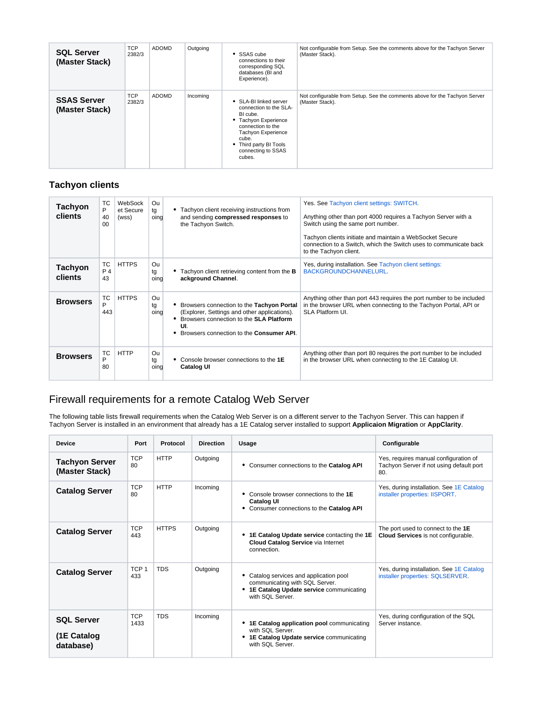| <b>SQL Server</b><br>(Master Stack)  | <b>TCP</b><br>2382/3 | ADOMD | Outgoing | • SSAS cube<br>connections to their<br>corresponding SQL<br>databases (BI and<br>Experience).                                                                                                      | Not configurable from Setup. See the comments above for the Tachyon Server<br>(Master Stack). |
|--------------------------------------|----------------------|-------|----------|----------------------------------------------------------------------------------------------------------------------------------------------------------------------------------------------------|-----------------------------------------------------------------------------------------------|
| <b>SSAS Server</b><br>(Master Stack) | <b>TCP</b><br>2382/3 | ADOMD | Incoming | • SLA-BI linked server<br>connection to the SLA-<br>BI cube.<br>• Tachyon Experience<br>connection to the<br>Tachyon Experience<br>cube.<br>• Third party BI Tools<br>connecting to SSAS<br>cubes. | Not configurable from Setup. See the comments above for the Tachyon Server<br>(Master Stack). |

### **Tachyon clients**

| Tachyon<br><b>clients</b> | TC<br>P<br>40<br>00    | WebSock<br>et Secure<br>(wss) | Ou<br>tg<br>oing | • Tachyon client receiving instructions from<br>and sending compressed responses to<br>the Tachyon Switch.                                                                                | Yes. See Tachyon client settings: SWITCH.<br>Anything other than port 4000 requires a Tachyon Server with a<br>Switch using the same port number.<br>Tachyon clients initiate and maintain a WebSocket Secure<br>connection to a Switch, which the Switch uses to communicate back<br>to the Tachyon client. |
|---------------------------|------------------------|-------------------------------|------------------|-------------------------------------------------------------------------------------------------------------------------------------------------------------------------------------------|--------------------------------------------------------------------------------------------------------------------------------------------------------------------------------------------------------------------------------------------------------------------------------------------------------------|
| <b>Tachyon</b><br>clients | <b>TC</b><br>P 4<br>43 | <b>HTTPS</b>                  | Ou<br>tg<br>oing | Tachyon client retrieving content from the <b>B</b><br>ackground Channel.                                                                                                                 | Yes, during installation. See Tachyon client settings:<br>BACKGROUNDCHANNELURL.                                                                                                                                                                                                                              |
| <b>Browsers</b>           | <b>TC</b><br>P<br>443  | <b>HTTPS</b>                  | Ou<br>tg<br>oing | • Browsers connection to the Tachyon Portal<br>(Explorer, Settings and other applications).<br>Browsers connection to the SLA Platform<br>UI.<br>Browsers connection to the Consumer API. | Anything other than port 443 requires the port number to be included<br>in the browser URL when connecting to the Tachyon Portal, API or<br>SLA Platform UI.                                                                                                                                                 |
| <b>Browsers</b>           | <b>TC</b><br>P<br>80   | <b>HTTP</b>                   | Ou<br>tg<br>oing | Console browser connections to the 1E<br><b>Catalog UI</b>                                                                                                                                | Anything other than port 80 requires the port number to be included<br>in the browser URL when connecting to the 1E Catalog UI.                                                                                                                                                                              |

## Firewall requirements for a remote Catalog Web Server

The following table lists firewall requirements when the Catalog Web Server is on a different server to the Tachyon Server. This can happen if Tachyon Server is installed in an environment that already has a 1E Catalog server installed to support **Applicaion Migration** or **AppClarity**.

| <b>Device</b>                                 | Port                    | Protocol     | <b>Direction</b> | Usage                                                                                                                                    | Configurable                                                                             |
|-----------------------------------------------|-------------------------|--------------|------------------|------------------------------------------------------------------------------------------------------------------------------------------|------------------------------------------------------------------------------------------|
| <b>Tachyon Server</b><br>(Master Stack)       | <b>TCP</b><br>80        | <b>HTTP</b>  | Outgoing         | Consumer connections to the Catalog API<br>٠                                                                                             | Yes, requires manual configuration of<br>Tachyon Server if not using default port<br>80. |
| <b>Catalog Server</b>                         | <b>TCP</b><br>80        | <b>HTTP</b>  | Incoming         | Console browser connections to the 1E<br><b>Catalog UI</b><br>• Consumer connections to the Catalog API                                  | Yes, during installation. See 1E Catalog<br>installer properties: IISPORT.               |
| <b>Catalog Server</b>                         | <b>TCP</b><br>443       | <b>HTTPS</b> | Outgoing         | • 1E Catalog Update service contacting the 1E<br><b>Cloud Catalog Service via Internet</b><br>connection.                                | The port used to connect to the 1E<br>Cloud Services is not configurable.                |
| <b>Catalog Server</b>                         | TCP <sub>1</sub><br>433 | <b>TDS</b>   | Outgoing         | Catalog services and application pool<br>communicating with SQL Server.<br>• 1E Catalog Update service communicating<br>with SQL Server. | Yes, during installation. See 1E Catalog<br>installer properties: SQLSERVER.             |
| <b>SQL Server</b><br>(1E Catalog<br>database) | <b>TCP</b><br>1433      | <b>TDS</b>   | Incoming         | • 1E Catalog application pool communicating<br>with SQL Server.<br>1E Catalog Update service communicating<br>with SQL Server.           | Yes, during configuration of the SQL<br>Server instance.                                 |